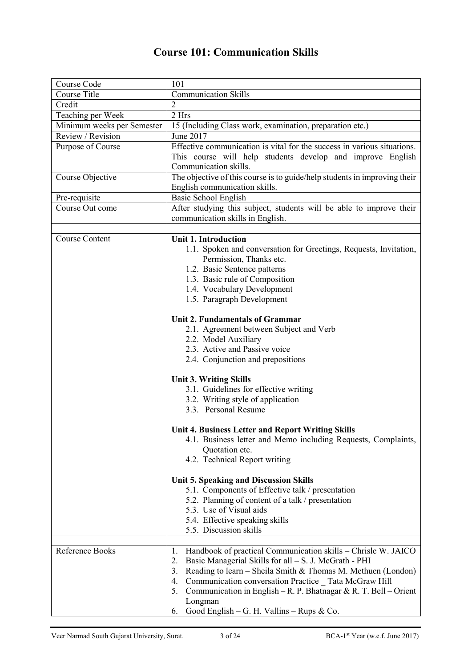## **Course 101: Communication Skills**

| Course Code                | 101                                                                                                                                                                                                                                                                                                                                                                                                            |
|----------------------------|----------------------------------------------------------------------------------------------------------------------------------------------------------------------------------------------------------------------------------------------------------------------------------------------------------------------------------------------------------------------------------------------------------------|
| Course Title               | Communication Skills                                                                                                                                                                                                                                                                                                                                                                                           |
| Credit                     | $\overline{2}$                                                                                                                                                                                                                                                                                                                                                                                                 |
| Teaching per Week          | 2 Hrs                                                                                                                                                                                                                                                                                                                                                                                                          |
| Minimum weeks per Semester | 15 (Including Class work, examination, preparation etc.)                                                                                                                                                                                                                                                                                                                                                       |
| Review / Revision          | June 2017                                                                                                                                                                                                                                                                                                                                                                                                      |
| Purpose of Course          | Effective communication is vital for the success in various situations.<br>This course will help students develop and improve English<br>Communication skills.                                                                                                                                                                                                                                                 |
| Course Objective           | The objective of this course is to guide/help students in improving their<br>English communication skills.                                                                                                                                                                                                                                                                                                     |
| Pre-requisite              | Basic School English                                                                                                                                                                                                                                                                                                                                                                                           |
| Course Out come            | After studying this subject, students will be able to improve their                                                                                                                                                                                                                                                                                                                                            |
|                            | communication skills in English.                                                                                                                                                                                                                                                                                                                                                                               |
|                            |                                                                                                                                                                                                                                                                                                                                                                                                                |
| <b>Course Content</b>      | <b>Unit 1. Introduction</b><br>1.1. Spoken and conversation for Greetings, Requests, Invitation,<br>Permission, Thanks etc.<br>1.2. Basic Sentence patterns<br>1.3. Basic rule of Composition<br>1.4. Vocabulary Development<br>1.5. Paragraph Development                                                                                                                                                     |
|                            |                                                                                                                                                                                                                                                                                                                                                                                                                |
|                            | <b>Unit 2. Fundamentals of Grammar</b><br>2.1. Agreement between Subject and Verb<br>2.2. Model Auxiliary<br>2.3. Active and Passive voice<br>2.4. Conjunction and prepositions                                                                                                                                                                                                                                |
|                            | <b>Unit 3. Writing Skills</b>                                                                                                                                                                                                                                                                                                                                                                                  |
|                            | 3.1. Guidelines for effective writing<br>3.2. Writing style of application<br>3.3. Personal Resume                                                                                                                                                                                                                                                                                                             |
|                            |                                                                                                                                                                                                                                                                                                                                                                                                                |
|                            | Unit 4. Business Letter and Report Writing Skills<br>4.1. Business letter and Memo including Requests, Complaints,<br>Quotation etc.<br>4.2. Technical Report writing                                                                                                                                                                                                                                          |
|                            | <b>Unit 5. Speaking and Discussion Skills</b><br>5.1. Components of Effective talk / presentation<br>5.2. Planning of content of a talk / presentation<br>5.3. Use of Visual aids<br>5.4. Effective speaking skills<br>5.5. Discussion skills                                                                                                                                                                  |
| Reference Books            | Handbook of practical Communication skills - Chrisle W. JAICO<br>1.<br>Basic Managerial Skills for all - S. J. McGrath - PHI<br>2.<br>Reading to learn – Sheila Smith & Thomas M. Methuen (London)<br>3.<br>Communication conversation Practice Tata McGraw Hill<br>4.<br>Communication in English – R. P. Bhatnagar & R. T. Bell – Orient<br>5.<br>Longman<br>Good English – G. H. Vallins – Rups & Co.<br>6. |